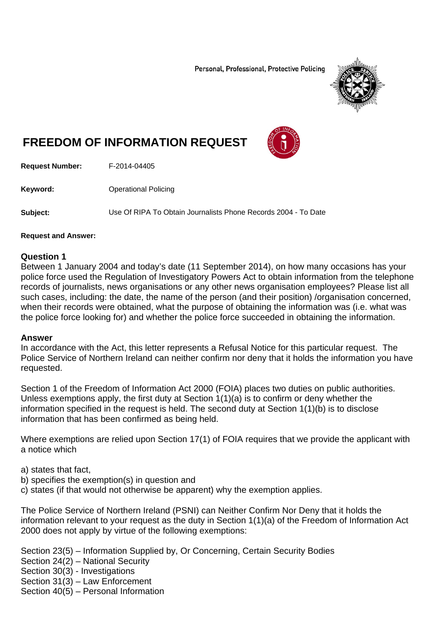Personal, Professional, Protective Policing



# **FREEDOM OF INFORMATION REQUEST**



**Request Number:** F-2014-04405

**Keyword: C** Operational Policing

**Subject:** Use Of RIPA To Obtain Journalists Phone Records 2004 - To Date

#### **Request and Answer:**

#### **Question 1**

Between 1 January 2004 and today's date (11 September 2014), on how many occasions has your police force used the Regulation of Investigatory Powers Act to obtain information from the telephone records of journalists, news organisations or any other news organisation employees? Please list all such cases, including: the date, the name of the person (and their position) /organisation concerned, when their records were obtained, what the purpose of obtaining the information was (i.e. what was the police force looking for) and whether the police force succeeded in obtaining the information.

#### **Answer**

In accordance with the Act, this letter represents a Refusal Notice for this particular request. The Police Service of Northern Ireland can neither confirm nor deny that it holds the information you have requested.

Section 1 of the Freedom of Information Act 2000 (FOIA) places two duties on public authorities. Unless exemptions apply, the first duty at Section 1(1)(a) is to confirm or deny whether the information specified in the request is held. The second duty at Section 1(1)(b) is to disclose information that has been confirmed as being held.

Where exemptions are relied upon Section 17(1) of FOIA requires that we provide the applicant with a notice which

a) states that fact,

- b) specifies the exemption(s) in question and
- c) states (if that would not otherwise be apparent) why the exemption applies.

The Police Service of Northern Ireland (PSNI) can Neither Confirm Nor Deny that it holds the information relevant to your request as the duty in Section 1(1)(a) of the Freedom of Information Act 2000 does not apply by virtue of the following exemptions:

Section 23(5) – Information Supplied by, Or Concerning, Certain Security Bodies

Section 24(2) – National Security

Section 30(3) - Investigations

Section  $31(3)$  – Law Enforcement

Section 40(5) – Personal Information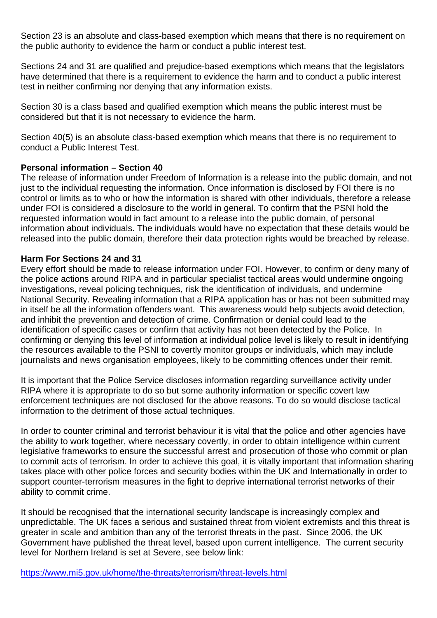Section 23 is an absolute and class-based exemption which means that there is no requirement on the public authority to evidence the harm or conduct a public interest test.

Sections 24 and 31 are qualified and prejudice-based exemptions which means that the legislators have determined that there is a requirement to evidence the harm and to conduct a public interest test in neither confirming nor denying that any information exists.

Section 30 is a class based and qualified exemption which means the public interest must be considered but that it is not necessary to evidence the harm.

Section 40(5) is an absolute class-based exemption which means that there is no requirement to conduct a Public Interest Test.

### **Personal information – Section 40**

The release of information under Freedom of Information is a release into the public domain, and not just to the individual requesting the information. Once information is disclosed by FOI there is no control or limits as to who or how the information is shared with other individuals, therefore a release under FOI is considered a disclosure to the world in general. To confirm that the PSNI hold the requested information would in fact amount to a release into the public domain, of personal information about individuals. The individuals would have no expectation that these details would be released into the public domain, therefore their data protection rights would be breached by release.

### **Harm For Sections 24 and 31**

Every effort should be made to release information under FOI. However, to confirm or deny many of the police actions around RIPA and in particular specialist tactical areas would undermine ongoing investigations, reveal policing techniques, risk the identification of individuals, and undermine National Security. Revealing information that a RIPA application has or has not been submitted may in itself be all the information offenders want. This awareness would help subjects avoid detection, and inhibit the prevention and detection of crime. Confirmation or denial could lead to the identification of specific cases or confirm that activity has not been detected by the Police. In confirming or denying this level of information at individual police level is likely to result in identifying the resources available to the PSNI to covertly monitor groups or individuals, which may include journalists and news organisation employees, likely to be committing offences under their remit.

It is important that the Police Service discloses information regarding surveillance activity under RIPA where it is appropriate to do so but some authority information or specific covert law enforcement techniques are not disclosed for the above reasons. To do so would disclose tactical information to the detriment of those actual techniques.

In order to counter criminal and terrorist behaviour it is vital that the police and other agencies have the ability to work together, where necessary covertly, in order to obtain intelligence within current legislative frameworks to ensure the successful arrest and prosecution of those who commit or plan to commit acts of terrorism. In order to achieve this goal, it is vitally important that information sharing takes place with other police forces and security bodies within the UK and Internationally in order to support counter-terrorism measures in the fight to deprive international terrorist networks of their ability to commit crime.

It should be recognised that the international security landscape is increasingly complex and unpredictable. The UK faces a serious and sustained threat from violent extremists and this threat is greater in scale and ambition than any of the terrorist threats in the past. Since 2006, the UK Government have published the threat level, based upon current intelligence. The current security level for Northern Ireland is set at Severe, see below link:

https://www.mi5.gov.uk/home/the-threats/terrorism/threat-levels.html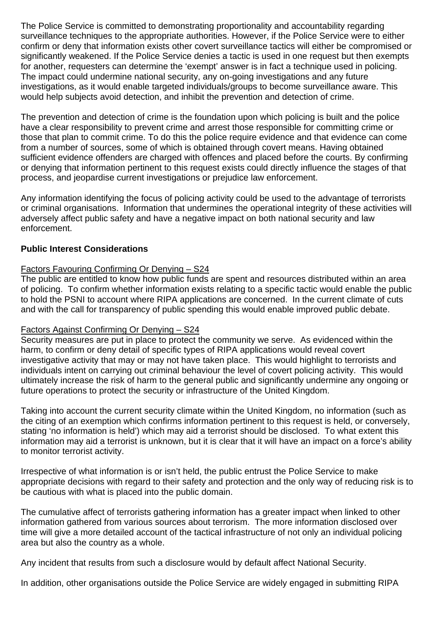The Police Service is committed to demonstrating proportionality and accountability regarding surveillance techniques to the appropriate authorities. However, if the Police Service were to either confirm or deny that information exists other covert surveillance tactics will either be compromised or significantly weakened. If the Police Service denies a tactic is used in one request but then exempts for another, requesters can determine the 'exempt' answer is in fact a technique used in policing. The impact could undermine national security, any on-going investigations and any future investigations, as it would enable targeted individuals/groups to become surveillance aware. This would help subjects avoid detection, and inhibit the prevention and detection of crime.

The prevention and detection of crime is the foundation upon which policing is built and the police have a clear responsibility to prevent crime and arrest those responsible for committing crime or those that plan to commit crime. To do this the police require evidence and that evidence can come from a number of sources, some of which is obtained through covert means. Having obtained sufficient evidence offenders are charged with offences and placed before the courts. By confirming or denying that information pertinent to this request exists could directly influence the stages of that process, and jeopardise current investigations or prejudice law enforcement.

Any information identifying the focus of policing activity could be used to the advantage of terrorists or criminal organisations. Information that undermines the operational integrity of these activities will adversely affect public safety and have a negative impact on both national security and law enforcement.

## **Public Interest Considerations**

## Factors Favouring Confirming Or Denying – S24

The public are entitled to know how public funds are spent and resources distributed within an area of policing. To confirm whether information exists relating to a specific tactic would enable the public to hold the PSNI to account where RIPA applications are concerned. In the current climate of cuts and with the call for transparency of public spending this would enable improved public debate.

### Factors Against Confirming Or Denying – S24

Security measures are put in place to protect the community we serve. As evidenced within the harm, to confirm or deny detail of specific types of RIPA applications would reveal covert investigative activity that may or may not have taken place. This would highlight to terrorists and individuals intent on carrying out criminal behaviour the level of covert policing activity. This would ultimately increase the risk of harm to the general public and significantly undermine any ongoing or future operations to protect the security or infrastructure of the United Kingdom.

Taking into account the current security climate within the United Kingdom, no information (such as the citing of an exemption which confirms information pertinent to this request is held, or conversely, stating 'no information is held') which may aid a terrorist should be disclosed. To what extent this information may aid a terrorist is unknown, but it is clear that it will have an impact on a force's ability to monitor terrorist activity.

Irrespective of what information is or isn't held, the public entrust the Police Service to make appropriate decisions with regard to their safety and protection and the only way of reducing risk is to be cautious with what is placed into the public domain.

The cumulative affect of terrorists gathering information has a greater impact when linked to other information gathered from various sources about terrorism. The more information disclosed over time will give a more detailed account of the tactical infrastructure of not only an individual policing area but also the country as a whole.

Any incident that results from such a disclosure would by default affect National Security.

In addition, other organisations outside the Police Service are widely engaged in submitting RIPA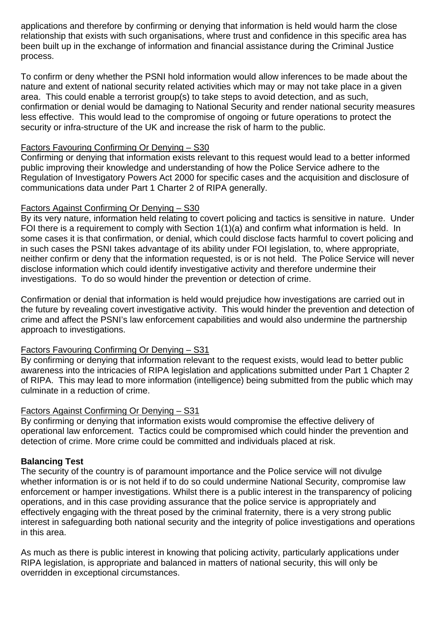applications and therefore by confirming or denying that information is held would harm the close relationship that exists with such organisations, where trust and confidence in this specific area has been built up in the exchange of information and financial assistance during the Criminal Justice process.

To confirm or deny whether the PSNI hold information would allow inferences to be made about the nature and extent of national security related activities which may or may not take place in a given area. This could enable a terrorist group(s) to take steps to avoid detection, and as such, confirmation or denial would be damaging to National Security and render national security measures less effective. This would lead to the compromise of ongoing or future operations to protect the security or infra-structure of the UK and increase the risk of harm to the public.

# Factors Favouring Confirming Or Denying – S30

Confirming or denying that information exists relevant to this request would lead to a better informed public improving their knowledge and understanding of how the Police Service adhere to the Regulation of Investigatory Powers Act 2000 for specific cases and the acquisition and disclosure of communications data under Part 1 Charter 2 of RIPA generally.

## Factors Against Confirming Or Denying – S30

By its very nature, information held relating to covert policing and tactics is sensitive in nature. Under FOI there is a requirement to comply with Section 1(1)(a) and confirm what information is held. In some cases it is that confirmation, or denial, which could disclose facts harmful to covert policing and in such cases the PSNI takes advantage of its ability under FOI legislation, to, where appropriate, neither confirm or deny that the information requested, is or is not held. The Police Service will never disclose information which could identify investigative activity and therefore undermine their investigations. To do so would hinder the prevention or detection of crime.

Confirmation or denial that information is held would prejudice how investigations are carried out in the future by revealing covert investigative activity. This would hinder the prevention and detection of crime and affect the PSNI's law enforcement capabilities and would also undermine the partnership approach to investigations.

# Factors Favouring Confirming Or Denying – S31

By confirming or denying that information relevant to the request exists, would lead to better public awareness into the intricacies of RIPA legislation and applications submitted under Part 1 Chapter 2 of RIPA. This may lead to more information (intelligence) being submitted from the public which may culminate in a reduction of crime.

# Factors Against Confirming Or Denying – S31

By confirming or denying that information exists would compromise the effective delivery of operational law enforcement. Tactics could be compromised which could hinder the prevention and detection of crime. More crime could be committed and individuals placed at risk.

### **Balancing Test**

The security of the country is of paramount importance and the Police service will not divulge whether information is or is not held if to do so could undermine National Security, compromise law enforcement or hamper investigations. Whilst there is a public interest in the transparency of policing operations, and in this case providing assurance that the police service is appropriately and effectively engaging with the threat posed by the criminal fraternity, there is a very strong public interest in safeguarding both national security and the integrity of police investigations and operations in this area.

As much as there is public interest in knowing that policing activity, particularly applications under RIPA legislation, is appropriate and balanced in matters of national security, this will only be overridden in exceptional circumstances.